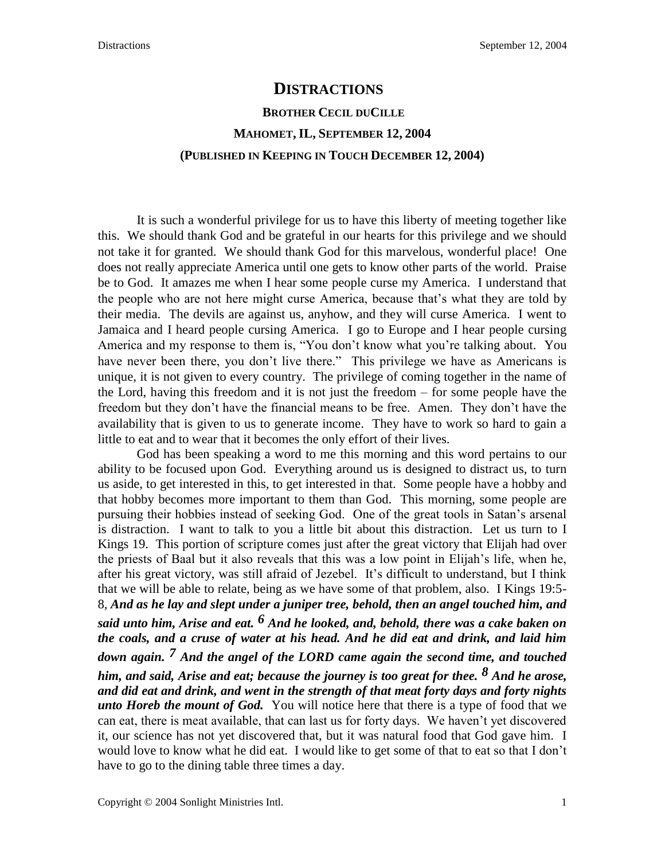## **DISTRACTIONS BROTHER CECIL DUCILLE MAHOMET, IL, SEPTEMBER 12, 2004 (PUBLISHED IN KEEPING IN TOUCH DECEMBER 12, 2004)**

It is such a wonderful privilege for us to have this liberty of meeting together like this. We should thank God and be grateful in our hearts for this privilege and we should not take it for granted. We should thank God for this marvelous, wonderful place! One does not really appreciate America until one gets to know other parts of the world. Praise be to God. It amazes me when I hear some people curse my America. I understand that the people who are not here might curse America, because that's what they are told by their media. The devils are against us, anyhow, and they will curse America. I went to Jamaica and I heard people cursing America. I go to Europe and I hear people cursing America and my response to them is, "You don't know what you're talking about. You have never been there, you don't live there." This privilege we have as Americans is unique, it is not given to every country. The privilege of coming together in the name of the Lord, having this freedom and it is not just the freedom – for some people have the freedom but they don't have the financial means to be free. Amen. They don't have the availability that is given to us to generate income. They have to work so hard to gain a little to eat and to wear that it becomes the only effort of their lives.

God has been speaking a word to me this morning and this word pertains to our ability to be focused upon God. Everything around us is designed to distract us, to turn us aside, to get interested in this, to get interested in that. Some people have a hobby and that hobby becomes more important to them than God. This morning, some people are pursuing their hobbies instead of seeking God. One of the great tools in Satan's arsenal is distraction. I want to talk to you a little bit about this distraction. Let us turn to I Kings 19. This portion of scripture comes just after the great victory that Elijah had over the priests of Baal but it also reveals that this was a low point in Elijah's life, when he, after his great victory, was still afraid of Jezebel. It's difficult to understand, but I think that we will be able to relate, being as we have some of that problem, also. I Kings 19:5- 8, *And as he lay and slept under a juniper tree, behold, then an angel touched him, and said unto him, Arise and eat. 6 And he looked, and, behold, there was a cake baken on the coals, and a cruse of water at his head. And he did eat and drink, and laid him down again. 7 And the angel of the LORD came again the second time, and touched him, and said, Arise and eat; because the journey is too great for thee. 8 And he arose, and did eat and drink, and went in the strength of that meat forty days and forty nights unto Horeb the mount of God.* You will notice here that there is a type of food that we can eat, there is meat available, that can last us for forty days. We haven't yet discovered it, our science has not yet discovered that, but it was natural food that God gave him. I would love to know what he did eat. I would like to get some of that to eat so that I don't have to go to the dining table three times a day.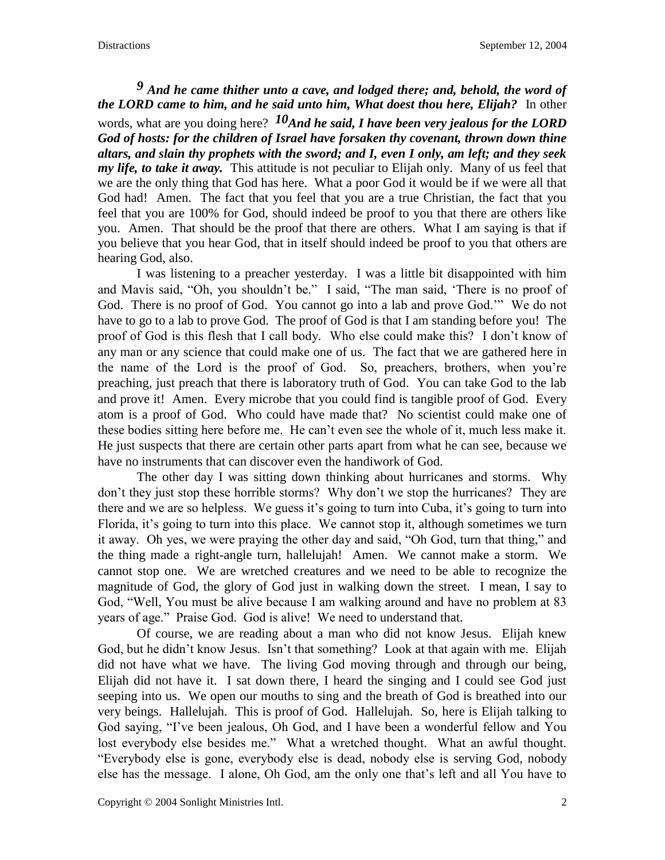## *9 And he came thither unto a cave, and lodged there; and, behold, the word of the LORD came to him, and he said unto him, What doest thou here, Elijah?* In other

words, what are you doing here? *10And he said, I have been very jealous for the LORD God of hosts: for the children of Israel have forsaken thy covenant, thrown down thine altars, and slain thy prophets with the sword; and I, even I only, am left; and they seek my life, to take it away.* This attitude is not peculiar to Elijah only. Many of us feel that we are the only thing that God has here. What a poor God it would be if we were all that God had! Amen. The fact that you feel that you are a true Christian, the fact that you feel that you are 100% for God, should indeed be proof to you that there are others like you. Amen. That should be the proof that there are others. What I am saying is that if you believe that you hear God, that in itself should indeed be proof to you that others are hearing God, also.

I was listening to a preacher yesterday. I was a little bit disappointed with him and Mavis said, "Oh, you shouldn't be." I said, "The man said, 'There is no proof of God. There is no proof of God. You cannot go into a lab and prove God.'" We do not have to go to a lab to prove God. The proof of God is that I am standing before you! The proof of God is this flesh that I call body. Who else could make this? I don't know of any man or any science that could make one of us. The fact that we are gathered here in the name of the Lord is the proof of God. So, preachers, brothers, when you're preaching, just preach that there is laboratory truth of God. You can take God to the lab and prove it! Amen. Every microbe that you could find is tangible proof of God. Every atom is a proof of God. Who could have made that? No scientist could make one of these bodies sitting here before me. He can't even see the whole of it, much less make it. He just suspects that there are certain other parts apart from what he can see, because we have no instruments that can discover even the handiwork of God.

The other day I was sitting down thinking about hurricanes and storms. Why don't they just stop these horrible storms? Why don't we stop the hurricanes? They are there and we are so helpless. We guess it's going to turn into Cuba, it's going to turn into Florida, it's going to turn into this place. We cannot stop it, although sometimes we turn it away. Oh yes, we were praying the other day and said, "Oh God, turn that thing," and the thing made a right-angle turn, hallelujah! Amen. We cannot make a storm. We cannot stop one. We are wretched creatures and we need to be able to recognize the magnitude of God, the glory of God just in walking down the street. I mean, I say to God, "Well, You must be alive because I am walking around and have no problem at 83 years of age." Praise God. God is alive! We need to understand that.

Of course, we are reading about a man who did not know Jesus. Elijah knew God, but he didn't know Jesus. Isn't that something? Look at that again with me. Elijah did not have what we have. The living God moving through and through our being, Elijah did not have it. I sat down there, I heard the singing and I could see God just seeping into us. We open our mouths to sing and the breath of God is breathed into our very beings. Hallelujah. This is proof of God. Hallelujah. So, here is Elijah talking to God saying, "I've been jealous, Oh God, and I have been a wonderful fellow and You lost everybody else besides me." What a wretched thought. What an awful thought. "Everybody else is gone, everybody else is dead, nobody else is serving God, nobody else has the message. I alone, Oh God, am the only one that's left and all You have to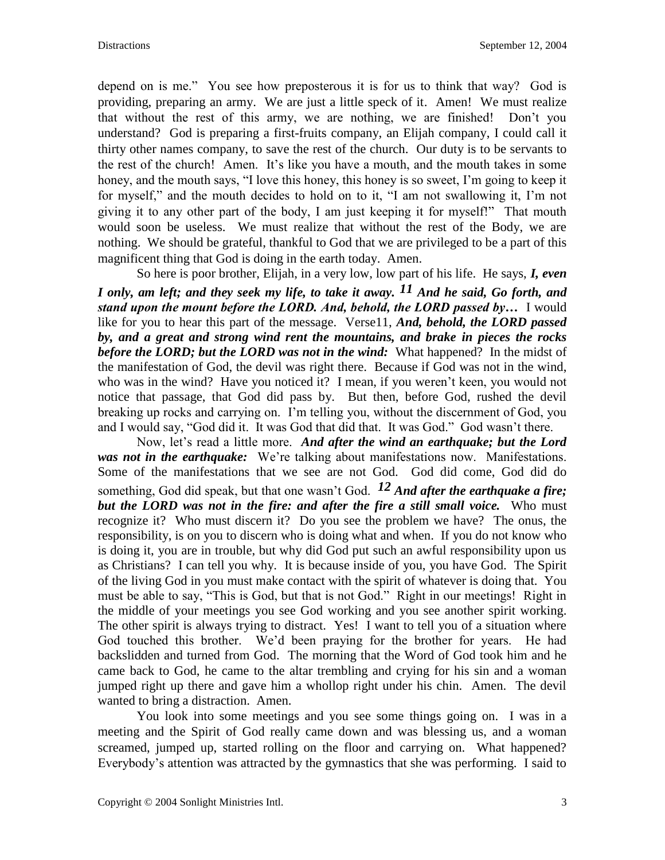depend on is me." You see how preposterous it is for us to think that way? God is providing, preparing an army. We are just a little speck of it. Amen! We must realize that without the rest of this army, we are nothing, we are finished! Don't you understand? God is preparing a first-fruits company, an Elijah company, I could call it thirty other names company, to save the rest of the church. Our duty is to be servants to the rest of the church! Amen. It's like you have a mouth, and the mouth takes in some honey, and the mouth says, "I love this honey, this honey is so sweet, I'm going to keep it for myself," and the mouth decides to hold on to it, "I am not swallowing it, I'm not giving it to any other part of the body, I am just keeping it for myself!" That mouth would soon be useless. We must realize that without the rest of the Body, we are nothing. We should be grateful, thankful to God that we are privileged to be a part of this magnificent thing that God is doing in the earth today. Amen.

So here is poor brother, Elijah, in a very low, low part of his life. He says, *I, even I only, am left; and they seek my life, to take it away. 11 And he said, Go forth, and stand upon the mount before the LORD. And, behold, the LORD passed by…* I would like for you to hear this part of the message. Verse11, *And, behold, the LORD passed by, and a great and strong wind rent the mountains, and brake in pieces the rocks before the LORD; but the LORD was not in the wind:* What happened? In the midst of the manifestation of God, the devil was right there. Because if God was not in the wind, who was in the wind? Have you noticed it? I mean, if you weren't keen, you would not notice that passage, that God did pass by. But then, before God, rushed the devil breaking up rocks and carrying on. I'm telling you, without the discernment of God, you and I would say, "God did it. It was God that did that. It was God." God wasn't there.

Now, let's read a little more. *And after the wind an earthquake; but the Lord was not in the earthquake:* We're talking about manifestations now. Manifestations. Some of the manifestations that we see are not God. God did come, God did do something, God did speak, but that one wasn't God. <sup>12</sup> And after the earthquake a fire: *but the LORD was not in the fire: and after the fire a still small voice.* Who must recognize it? Who must discern it? Do you see the problem we have? The onus, the responsibility, is on you to discern who is doing what and when. If you do not know who is doing it, you are in trouble, but why did God put such an awful responsibility upon us as Christians? I can tell you why. It is because inside of you, you have God. The Spirit of the living God in you must make contact with the spirit of whatever is doing that. You must be able to say, "This is God, but that is not God." Right in our meetings! Right in the middle of your meetings you see God working and you see another spirit working. The other spirit is always trying to distract. Yes! I want to tell you of a situation where God touched this brother. We'd been praying for the brother for years. He had backslidden and turned from God. The morning that the Word of God took him and he came back to God, he came to the altar trembling and crying for his sin and a woman jumped right up there and gave him a whollop right under his chin. Amen. The devil wanted to bring a distraction. Amen.

You look into some meetings and you see some things going on. I was in a meeting and the Spirit of God really came down and was blessing us, and a woman screamed, jumped up, started rolling on the floor and carrying on. What happened? Everybody's attention was attracted by the gymnastics that she was performing. I said to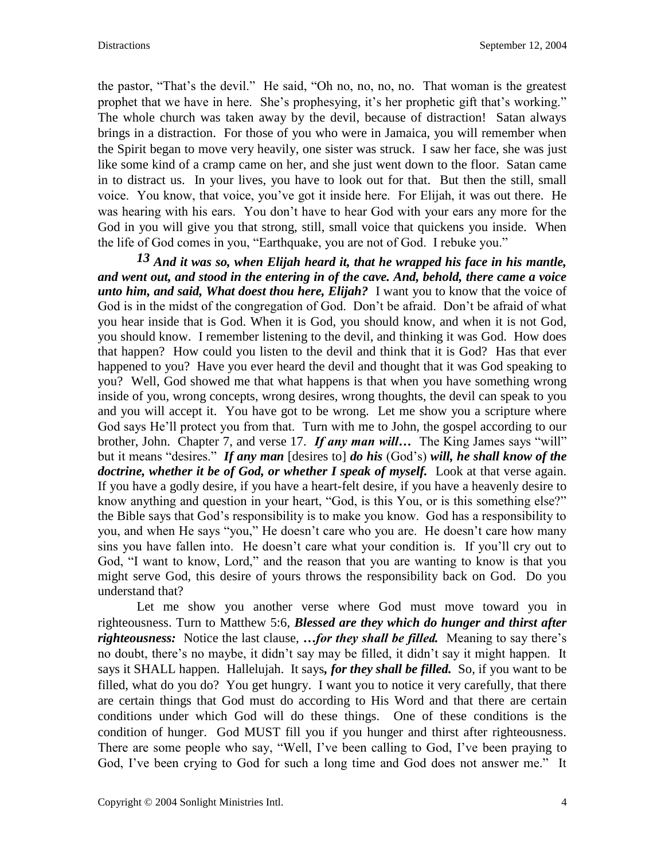the pastor, "That's the devil." He said, "Oh no, no, no, no. That woman is the greatest prophet that we have in here. She's prophesying, it's her prophetic gift that's working." The whole church was taken away by the devil, because of distraction! Satan always brings in a distraction. For those of you who were in Jamaica, you will remember when the Spirit began to move very heavily, one sister was struck. I saw her face, she was just like some kind of a cramp came on her, and she just went down to the floor. Satan came in to distract us. In your lives, you have to look out for that. But then the still, small voice. You know, that voice, you've got it inside here. For Elijah, it was out there. He was hearing with his ears. You don't have to hear God with your ears any more for the God in you will give you that strong, still, small voice that quickens you inside. When the life of God comes in you, "Earthquake, you are not of God. I rebuke you."

*13 And it was so, when Elijah heard it, that he wrapped his face in his mantle, and went out, and stood in the entering in of the cave. And, behold, there came a voice unto him, and said, What doest thou here, Elijah?* I want you to know that the voice of God is in the midst of the congregation of God. Don't be afraid. Don't be afraid of what you hear inside that is God. When it is God, you should know, and when it is not God, you should know. I remember listening to the devil, and thinking it was God. How does that happen? How could you listen to the devil and think that it is God? Has that ever happened to you? Have you ever heard the devil and thought that it was God speaking to you? Well, God showed me that what happens is that when you have something wrong inside of you, wrong concepts, wrong desires, wrong thoughts, the devil can speak to you and you will accept it. You have got to be wrong. Let me show you a scripture where God says He'll protect you from that. Turn with me to John, the gospel according to our brother, John. Chapter 7, and verse 17. *If any man will…* The King James says "will" but it means "desires." *If any man* [desires to] *do his* (God's) *will, he shall know of the doctrine, whether it be of God, or whether I speak of myself.* Look at that verse again. If you have a godly desire, if you have a heart-felt desire, if you have a heavenly desire to know anything and question in your heart, "God, is this You, or is this something else?" the Bible says that God's responsibility is to make you know. God has a responsibility to you, and when He says "you," He doesn't care who you are. He doesn't care how many sins you have fallen into. He doesn't care what your condition is. If you'll cry out to God, "I want to know, Lord," and the reason that you are wanting to know is that you might serve God, this desire of yours throws the responsibility back on God. Do you understand that?

Let me show you another verse where God must move toward you in righteousness. Turn to Matthew 5:6, *Blessed are they which do hunger and thirst after righteousness:* Notice the last clause, *…for they shall be filled.* Meaning to say there's no doubt, there's no maybe, it didn't say may be filled, it didn't say it might happen. It says it SHALL happen. Hallelujah. It says*, for they shall be filled.* So, if you want to be filled, what do you do? You get hungry. I want you to notice it very carefully, that there are certain things that God must do according to His Word and that there are certain conditions under which God will do these things. One of these conditions is the condition of hunger. God MUST fill you if you hunger and thirst after righteousness. There are some people who say, "Well, I've been calling to God, I've been praying to God, I've been crying to God for such a long time and God does not answer me." It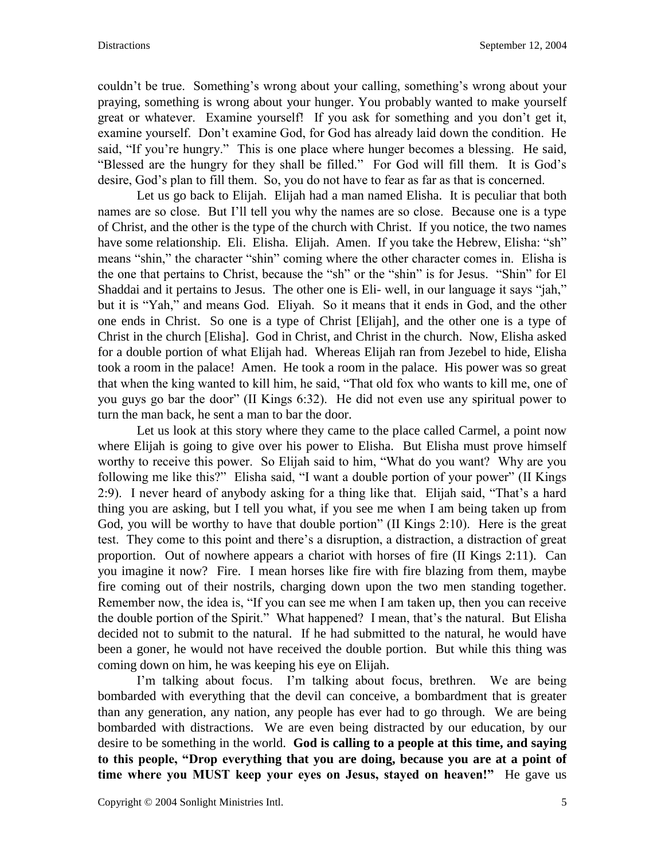couldn't be true. Something's wrong about your calling, something's wrong about your praying, something is wrong about your hunger. You probably wanted to make yourself great or whatever. Examine yourself! If you ask for something and you don't get it, examine yourself. Don't examine God, for God has already laid down the condition. He said, "If you're hungry." This is one place where hunger becomes a blessing. He said, "Blessed are the hungry for they shall be filled." For God will fill them. It is God's desire, God's plan to fill them. So, you do not have to fear as far as that is concerned.

Let us go back to Elijah. Elijah had a man named Elisha. It is peculiar that both names are so close. But I'll tell you why the names are so close. Because one is a type of Christ, and the other is the type of the church with Christ. If you notice, the two names have some relationship. Eli. Elisha. Elijah. Amen. If you take the Hebrew, Elisha: "sh" means "shin," the character "shin" coming where the other character comes in. Elisha is the one that pertains to Christ, because the "sh" or the "shin" is for Jesus. "Shin" for El Shaddai and it pertains to Jesus. The other one is Eli- well, in our language it says "jah," but it is "Yah," and means God. Eliyah. So it means that it ends in God, and the other one ends in Christ. So one is a type of Christ [Elijah], and the other one is a type of Christ in the church [Elisha]. God in Christ, and Christ in the church. Now, Elisha asked for a double portion of what Elijah had. Whereas Elijah ran from Jezebel to hide, Elisha took a room in the palace! Amen. He took a room in the palace. His power was so great that when the king wanted to kill him, he said, "That old fox who wants to kill me, one of you guys go bar the door" (II Kings 6:32). He did not even use any spiritual power to turn the man back, he sent a man to bar the door.

Let us look at this story where they came to the place called Carmel, a point now where Elijah is going to give over his power to Elisha. But Elisha must prove himself worthy to receive this power. So Elijah said to him, "What do you want? Why are you following me like this?" Elisha said, "I want a double portion of your power" (II Kings 2:9). I never heard of anybody asking for a thing like that. Elijah said, "That's a hard thing you are asking, but I tell you what, if you see me when I am being taken up from God, you will be worthy to have that double portion" (II Kings 2:10). Here is the great test. They come to this point and there's a disruption, a distraction, a distraction of great proportion. Out of nowhere appears a chariot with horses of fire (II Kings 2:11). Can you imagine it now? Fire. I mean horses like fire with fire blazing from them, maybe fire coming out of their nostrils, charging down upon the two men standing together. Remember now, the idea is, "If you can see me when I am taken up, then you can receive the double portion of the Spirit." What happened? I mean, that's the natural. But Elisha decided not to submit to the natural. If he had submitted to the natural, he would have been a goner, he would not have received the double portion. But while this thing was coming down on him, he was keeping his eye on Elijah.

I'm talking about focus. I'm talking about focus, brethren. We are being bombarded with everything that the devil can conceive, a bombardment that is greater than any generation, any nation, any people has ever had to go through. We are being bombarded with distractions. We are even being distracted by our education, by our desire to be something in the world. **God is calling to a people at this time, and saying to this people, "Drop everything that you are doing, because you are at a point of time where you MUST keep your eyes on Jesus, stayed on heaven!"** He gave us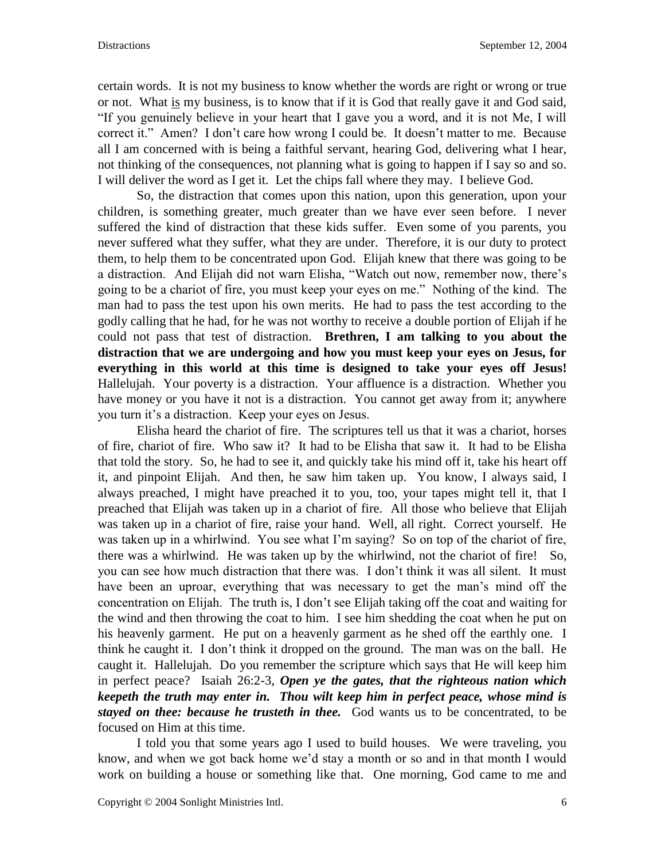certain words. It is not my business to know whether the words are right or wrong or true or not. What is my business, is to know that if it is God that really gave it and God said, "If you genuinely believe in your heart that I gave you a word, and it is not Me, I will correct it." Amen? I don't care how wrong I could be. It doesn't matter to me. Because all I am concerned with is being a faithful servant, hearing God, delivering what I hear, not thinking of the consequences, not planning what is going to happen if I say so and so. I will deliver the word as I get it. Let the chips fall where they may. I believe God.

So, the distraction that comes upon this nation, upon this generation, upon your children, is something greater, much greater than we have ever seen before. I never suffered the kind of distraction that these kids suffer. Even some of you parents, you never suffered what they suffer, what they are under. Therefore, it is our duty to protect them, to help them to be concentrated upon God. Elijah knew that there was going to be a distraction. And Elijah did not warn Elisha, "Watch out now, remember now, there's going to be a chariot of fire, you must keep your eyes on me." Nothing of the kind. The man had to pass the test upon his own merits. He had to pass the test according to the godly calling that he had, for he was not worthy to receive a double portion of Elijah if he could not pass that test of distraction. **Brethren, I am talking to you about the distraction that we are undergoing and how you must keep your eyes on Jesus, for everything in this world at this time is designed to take your eyes off Jesus!** Hallelujah. Your poverty is a distraction. Your affluence is a distraction. Whether you have money or you have it not is a distraction. You cannot get away from it; anywhere you turn it's a distraction. Keep your eyes on Jesus.

Elisha heard the chariot of fire. The scriptures tell us that it was a chariot, horses of fire, chariot of fire. Who saw it? It had to be Elisha that saw it. It had to be Elisha that told the story. So, he had to see it, and quickly take his mind off it, take his heart off it, and pinpoint Elijah. And then, he saw him taken up. You know, I always said, I always preached, I might have preached it to you, too, your tapes might tell it, that I preached that Elijah was taken up in a chariot of fire. All those who believe that Elijah was taken up in a chariot of fire, raise your hand. Well, all right. Correct yourself. He was taken up in a whirlwind. You see what I'm saying? So on top of the chariot of fire, there was a whirlwind. He was taken up by the whirlwind, not the chariot of fire! So, you can see how much distraction that there was. I don't think it was all silent. It must have been an uproar, everything that was necessary to get the man's mind off the concentration on Elijah. The truth is, I don't see Elijah taking off the coat and waiting for the wind and then throwing the coat to him. I see him shedding the coat when he put on his heavenly garment. He put on a heavenly garment as he shed off the earthly one. I think he caught it. I don't think it dropped on the ground. The man was on the ball. He caught it. Hallelujah. Do you remember the scripture which says that He will keep him in perfect peace? Isaiah 26:2-3, *Open ye the gates, that the righteous nation which keepeth the truth may enter in. Thou wilt keep him in perfect peace, whose mind is stayed on thee: because he trusteth in thee.* God wants us to be concentrated, to be focused on Him at this time.

I told you that some years ago I used to build houses. We were traveling, you know, and when we got back home we'd stay a month or so and in that month I would work on building a house or something like that. One morning, God came to me and